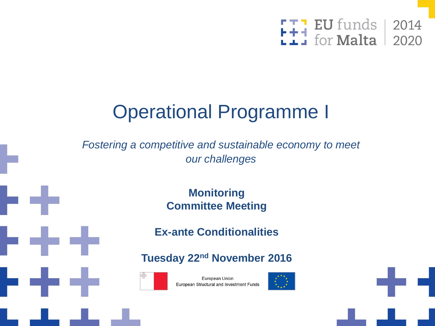

# Operational Programme I

*Fostering a competitive and sustainable economy to meet our challenges*

> **Monitoring Committee Meeting**

**Ex-ante Conditionalities**

**Tuesday 22nd November 2016**



European Union European Structural and Investment Funds



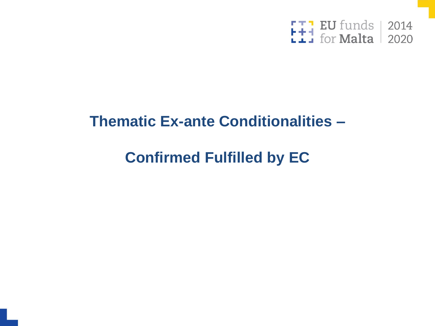

#### **Thematic Ex-ante Conditionalities -**

# **Confirmed Fulfilled by EC**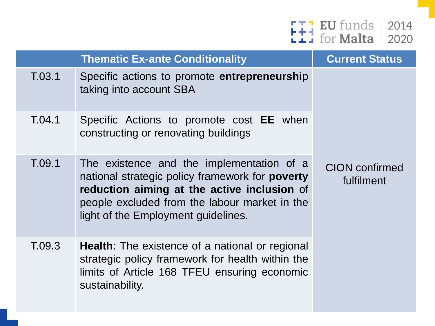

|        | <b>Thematic Ex-ante Conditionality</b>                                                                                                                                                                                                     | <b>Current Status</b>               |
|--------|--------------------------------------------------------------------------------------------------------------------------------------------------------------------------------------------------------------------------------------------|-------------------------------------|
| T.03.1 | Specific actions to promote entrepreneurship<br>taking into account SBA                                                                                                                                                                    |                                     |
| T.04.1 | Specific Actions to promote cost <b>EE</b> when<br>constructing or renovating buildings                                                                                                                                                    |                                     |
| T.09.1 | The existence and the implementation of a<br>national strategic policy framework for <b>poverty</b><br>reduction aiming at the active inclusion of<br>people excluded from the labour market in the<br>light of the Employment guidelines. | <b>CION</b> confirmed<br>fulfilment |
| T.09.3 | <b>Health</b> : The existence of a national or regional<br>strategic policy framework for health within the<br>limits of Article 168 TFEU ensuring economic<br>sustainability.                                                             |                                     |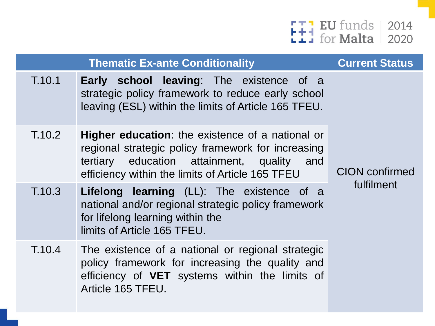

|        | <b>Thematic Ex-ante Conditionality</b>                                                                                                                                                                             | <b>Current Status</b> |
|--------|--------------------------------------------------------------------------------------------------------------------------------------------------------------------------------------------------------------------|-----------------------|
| T.10.1 | <b>Early school leaving:</b> The existence of a<br>strategic policy framework to reduce early school<br>leaving (ESL) within the limits of Article 165 TFEU.                                                       |                       |
| T.10.2 | <b>Higher education:</b> the existence of a national or<br>regional strategic policy framework for increasing<br>tertiary education attainment, quality<br>and<br>efficiency within the limits of Article 165 TFEU | <b>CION</b> confirmed |
| T.10.3 | <b>Lifelong learning</b> (LL): The existence of a<br>national and/or regional strategic policy framework<br>for lifelong learning within the<br>limits of Article 165 TFEU.                                        | fulfilment            |
| T.10.4 | The existence of a national or regional strategic<br>policy framework for increasing the quality and<br>efficiency of VET systems within the limits of<br>Article 165 TFEU.                                        |                       |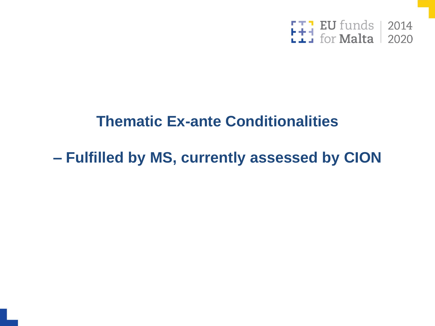

#### **Thematic Ex-ante Conditionalities**

## **– Fulfilled by MS, currently assessed by CION**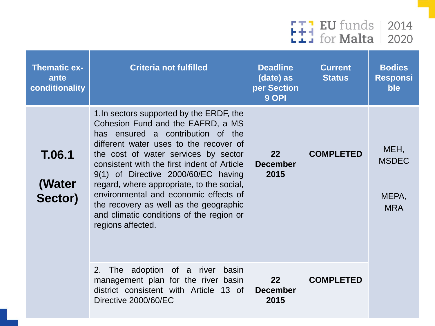

| <b>Thematic ex-</b><br>ante<br>conditionality | <b>Criteria not fulfilled</b>                                                                                                                                                                                                                                                                                                                                                                                                                                                               | <b>Deadline</b><br>(date) as<br>per Section<br>9 OPI | <b>Current</b><br><b>Status</b> | <b>Bodies</b><br><b>Responsi</b><br>ble     |
|-----------------------------------------------|---------------------------------------------------------------------------------------------------------------------------------------------------------------------------------------------------------------------------------------------------------------------------------------------------------------------------------------------------------------------------------------------------------------------------------------------------------------------------------------------|------------------------------------------------------|---------------------------------|---------------------------------------------|
| <b>T.06.1</b><br>(Water<br>Sector)            | 1. In sectors supported by the ERDF, the<br>Cohesion Fund and the EAFRD, a MS<br>has ensured a contribution of the<br>different water uses to the recover of<br>the cost of water services by sector<br>consistent with the first indent of Article<br>9(1) of Directive 2000/60/EC having<br>regard, where appropriate, to the social,<br>environmental and economic effects of<br>the recovery as well as the geographic<br>and climatic conditions of the region or<br>regions affected. | 22<br><b>December</b><br>2015                        | <b>COMPLETED</b>                | MEH,<br><b>MSDEC</b><br>MEPA,<br><b>MRA</b> |
|                                               | 2. The adoption of a river<br>basin<br>management plan for the river basin<br>district consistent with Article 13 of<br>Directive 2000/60/EC                                                                                                                                                                                                                                                                                                                                                | 22<br><b>December</b><br>2015                        | <b>COMPLETED</b>                |                                             |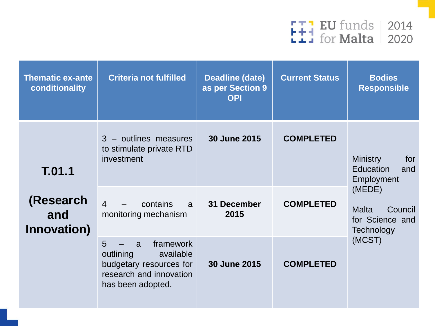

| <b>Thematic ex-ante</b><br>conditionality | <b>Criteria not fulfilled</b>                                                                                            | <b>Deadline (date)</b><br>as per Section 9<br><b>OPI</b> | <b>Current Status</b> | <b>Bodies</b><br><b>Responsible</b>                                |  |
|-------------------------------------------|--------------------------------------------------------------------------------------------------------------------------|----------------------------------------------------------|-----------------------|--------------------------------------------------------------------|--|
| T.01.1<br>(Research<br>and<br>Innovation) | 3 - outlines measures<br>to stimulate private RTD<br>investment                                                          | 30 June 2015                                             | <b>COMPLETED</b>      | <b>Ministry</b><br>for<br><b>Education</b><br>and<br>Employment    |  |
|                                           | $\overline{4}$<br>contains<br>a<br>monitoring mechanism                                                                  | 31 December<br>2015                                      | <b>COMPLETED</b>      | (MEDE)<br><b>Malta</b><br>Council<br>for Science and<br>Technology |  |
|                                           | 5<br>framework<br>a<br>outlining<br>available<br>budgetary resources for<br>research and innovation<br>has been adopted. | 30 June 2015                                             | <b>COMPLETED</b>      | (MCST)                                                             |  |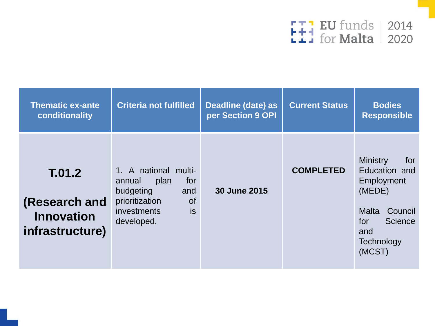

| <b>Thematic ex-ante</b><br>conditionality                       | <b>Criteria not fulfilled</b>                                                                                                              | Deadline (date) as<br>per Section 9 OPI | <b>Current Status</b> | <b>Bodies</b><br><b>Responsible</b>                                                                                                  |
|-----------------------------------------------------------------|--------------------------------------------------------------------------------------------------------------------------------------------|-----------------------------------------|-----------------------|--------------------------------------------------------------------------------------------------------------------------------------|
| T.01.2<br>(Research and<br><b>Innovation</b><br>infrastructure) | 1. A national multi-<br>for<br>plan<br>annual<br>budgeting<br>and<br>prioritization<br><b>of</b><br>is<br><i>investments</i><br>developed. | 30 June 2015                            | <b>COMPLETED</b>      | <b>Ministry</b><br>for<br>Education and<br>Employment<br>(MEDE)<br>Council<br>Malta<br>Science<br>for<br>and<br>Technology<br>(MCST) |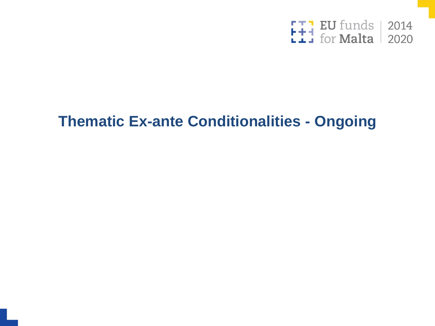

### **Thematic Ex-ante Conditionalities - Ongoing**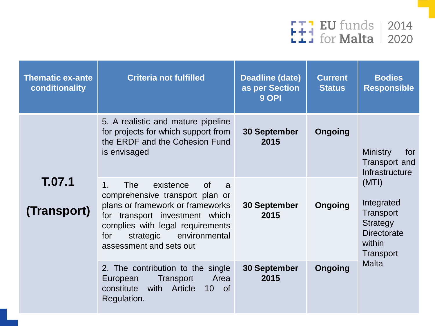

| <b>Thematic ex-ante</b><br>conditionality | <b>Criteria not fulfilled</b>                                                                                                                                                                                                                                          | <b>Deadline (date)</b><br>as per Section<br>9 OPI | <b>Current</b><br><b>Status</b> | <b>Bodies</b><br><b>Responsible</b>                                                                                                                                           |
|-------------------------------------------|------------------------------------------------------------------------------------------------------------------------------------------------------------------------------------------------------------------------------------------------------------------------|---------------------------------------------------|---------------------------------|-------------------------------------------------------------------------------------------------------------------------------------------------------------------------------|
|                                           | 5. A realistic and mature pipeline<br>for projects for which support from<br>the ERDF and the Cohesion Fund<br>is envisaged                                                                                                                                            | <b>30 September</b><br>2015                       | <b>Ongoing</b>                  | <b>Ministry</b><br>for<br>Transport and<br>Infrastructure<br>(MTI)<br>Integrated<br>Transport<br>Strategy<br><b>Directorate</b><br>within<br><b>Transport</b><br><b>Malta</b> |
| T.07.1<br>(Transport)                     | 1 <sub>1</sub><br><b>The</b><br>existence<br>$\circ$<br>a<br>comprehensive transport plan or<br>plans or framework or frameworks<br>for transport investment which<br>complies with legal requirements<br>strategic<br>environmental<br>for<br>assessment and sets out | <b>30 September</b><br>2015                       | <b>Ongoing</b>                  |                                                                                                                                                                               |
|                                           | 2. The contribution to the single<br>Area<br>Transport<br>European<br>with Article<br>constitute<br>$10$ of<br>Regulation.                                                                                                                                             | <b>30 September</b><br>2015                       | <b>Ongoing</b>                  |                                                                                                                                                                               |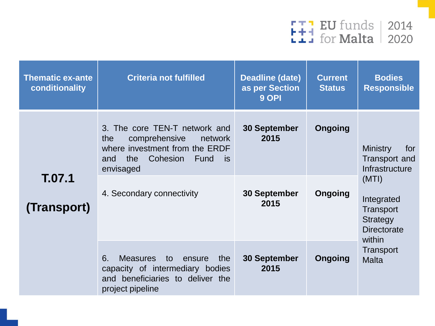

| <b>Thematic ex-ante</b><br>conditionality | <b>Criteria not fulfilled</b>                                                                                                                                                           | <b>Deadline (date)</b><br>as per Section<br>9 OPI          | <b>Current</b><br><b>Status</b> | <b>Bodies</b><br><b>Responsible</b>                                                                                                       |
|-------------------------------------------|-----------------------------------------------------------------------------------------------------------------------------------------------------------------------------------------|------------------------------------------------------------|---------------------------------|-------------------------------------------------------------------------------------------------------------------------------------------|
| T.07.1<br>(Transport)                     | 3. The core TEN-T network and<br>comprehensive<br>the<br>network<br>where investment from the ERDF<br>Cohesion<br>the<br>Fund<br>is is<br>and<br>envisaged<br>4. Secondary connectivity | <b>30 September</b><br>2015<br><b>30 September</b><br>2015 | Ongoing<br>Ongoing              | <b>Ministry</b><br>for<br>Transport and<br>Infrastructure<br>(MTI)<br>Integrated<br>Transport<br>Strategy<br><b>Directorate</b><br>within |
|                                           | 6.<br><b>Measures</b><br>to<br>the<br>ensure<br>capacity of intermediary bodies<br>and beneficiaries to deliver the<br>project pipeline                                                 | <b>30 September</b><br>2015                                | Ongoing                         | <b>Transport</b><br><b>Malta</b>                                                                                                          |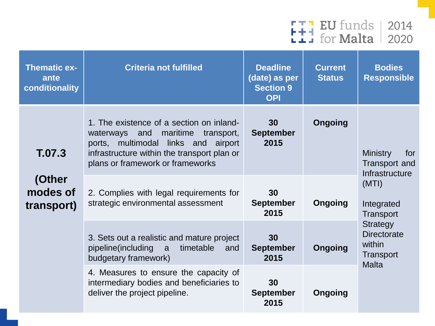

| <b>Thematic ex-</b><br>ante<br>conditionality | <b>Criteria not fulfilled</b>                                                                                                                                                                                    | <b>Deadline</b><br>(date) as per<br><b>Section 9</b><br><b>OPI</b> | <b>Current</b><br><b>Status</b> | <b>Bodies</b><br><b>Responsible</b>                                                                                                                                         |
|-----------------------------------------------|------------------------------------------------------------------------------------------------------------------------------------------------------------------------------------------------------------------|--------------------------------------------------------------------|---------------------------------|-----------------------------------------------------------------------------------------------------------------------------------------------------------------------------|
| T.07.3<br>(Other<br>modes of<br>transport)    | 1. The existence of a section on inland-<br>waterways and<br>maritime<br>transport,<br>ports, multimodal links and<br>airport<br>infrastructure within the transport plan or<br>plans or framework or frameworks | 30<br><b>September</b><br>2015                                     | Ongoing                         | <b>Ministry</b><br>for<br><b>Transport and</b><br>Infrastructure<br>(MTI)<br>Integrated<br>Transport<br><b>Strategy</b><br><b>Directorate</b><br>within<br><b>Transport</b> |
|                                               | 2. Complies with legal requirements for<br>strategic environmental assessment                                                                                                                                    | 30<br><b>September</b><br>2015                                     | <b>Ongoing</b>                  |                                                                                                                                                                             |
|                                               | 3. Sets out a realistic and mature project<br>timetable<br>pipeline(including<br>a<br>and<br>budgetary framework)                                                                                                | 30<br><b>September</b><br>2015                                     | Ongoing                         |                                                                                                                                                                             |
|                                               | 4. Measures to ensure the capacity of<br>intermediary bodies and beneficiaries to<br>deliver the project pipeline.                                                                                               | 30<br><b>September</b><br>2015                                     | Ongoing                         | <b>Malta</b>                                                                                                                                                                |